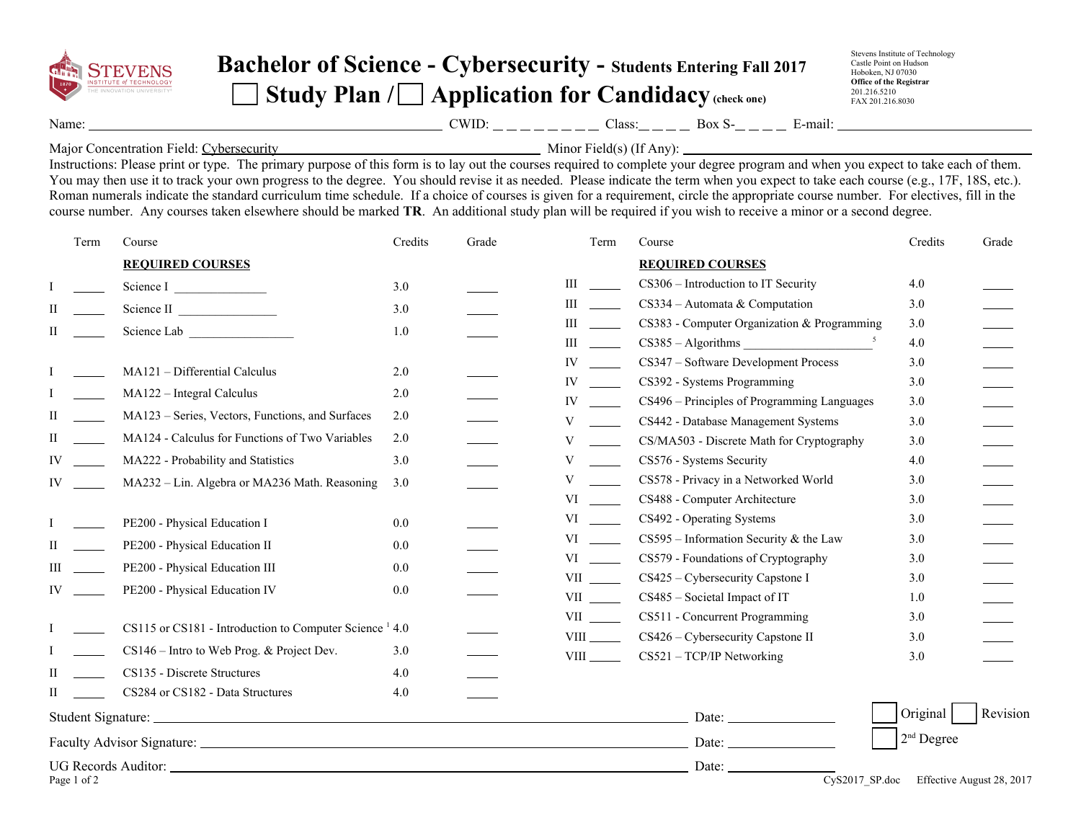

## **Bachelor of Science - Cybersecurity - Students Entering Fall 2017** Study Plan / **Application for Candidacy** (check one)

Stevens Institute of Technology Castle Point on Hudson Hoboken, NJ 07030 **Office of the Registrar** 201.216.5210 FAX 201.216.8030

Name: CWID: Class: Box S- E-mail:

Major Concentration Field: Cybersecurity Minor Field(s) (If Any):

Instructions: Please print or type. The primary purpose of this form is to lay out the courses required to complete your degree program and when you expect to take each of them. You may then use it to track your own progress to the degree. You should revise it as needed. Please indicate the term when you expect to take each course (e.g., 17F, 18S, etc.). Roman numerals indicate the standard curriculum time schedule. If a choice of courses is given for a requirement, circle the appropriate course number. For electives, fill in the course number. Any courses taken elsewhere should be marked **TR**. An additional study plan will be required if you wish to receive a minor or a second degree.

| Term        | Course                                                             | Credits | Grade | Term                                                                                                                                                                                                                          | Course                                                            | Credits    | Grade                     |
|-------------|--------------------------------------------------------------------|---------|-------|-------------------------------------------------------------------------------------------------------------------------------------------------------------------------------------------------------------------------------|-------------------------------------------------------------------|------------|---------------------------|
|             | <b>REQUIRED COURSES</b>                                            |         |       |                                                                                                                                                                                                                               | <b>REQUIRED COURSES</b>                                           |            |                           |
|             | Science I                                                          | 3.0     |       | Ш                                                                                                                                                                                                                             | CS306 - Introduction to IT Security                               | 4.0        |                           |
|             | Science II                                                         | 3.0     |       | Ш                                                                                                                                                                                                                             | $CS334 -$ Automata & Computation                                  | 3.0        |                           |
|             | Science Lab <b>Example</b>                                         | 1.0     |       | Ш                                                                                                                                                                                                                             | CS383 - Computer Organization & Programming                       | 3.0        |                           |
|             |                                                                    |         |       | Ш                                                                                                                                                                                                                             | $CS385 - Algorithms$                                              | 4.0        |                           |
|             | MA121 - Differential Calculus                                      | 2.0     |       | IV                                                                                                                                                                                                                            | CS347 - Software Development Process                              | 3.0        |                           |
|             | MA122 - Integral Calculus                                          | 2.0     |       | IV                                                                                                                                                                                                                            | CS392 - Systems Programming                                       | 3.0        |                           |
|             | MA123 – Series, Vectors, Functions, and Surfaces                   | 2.0     |       | IV                                                                                                                                                                                                                            | CS496 – Principles of Programming Languages                       | 3.0        |                           |
|             |                                                                    |         |       | V                                                                                                                                                                                                                             | CS442 - Database Management Systems                               | 3.0        |                           |
| Н.          | MA124 - Calculus for Functions of Two Variables                    | 2.0     |       | V                                                                                                                                                                                                                             | CS/MA503 - Discrete Math for Cryptography                         | 3.0        |                           |
| IV          | MA222 - Probability and Statistics                                 | 3.0     |       | V                                                                                                                                                                                                                             | CS576 - Systems Security                                          | 4.0        |                           |
| IV          | MA232 - Lin. Algebra or MA236 Math. Reasoning                      | 3.0     |       | V                                                                                                                                                                                                                             | CS578 - Privacy in a Networked World                              | 3.0        |                           |
|             |                                                                    |         |       | VI                                                                                                                                                                                                                            | CS488 - Computer Architecture                                     | 3.0        |                           |
|             | PE200 - Physical Education I                                       | $0.0\,$ |       |                                                                                                                                                                                                                               | CS492 - Operating Systems                                         | 3.0        |                           |
|             | PE200 - Physical Education II                                      | 0.0     |       | VI video de la provincia de la provincia de la provincia de la provincia de la provincia de la provincia de la                                                                                                                | $CS595$ – Information Security & the Law                          | 3.0        |                           |
|             | PE200 - Physical Education III                                     | $0.0\,$ |       | VI video and the set of the set of the set of the set of the set of the set of the set of the set of the set of the set of the set of the set of the set of the set of the set of the set of the set of the set of the set of | CS579 - Foundations of Cryptography                               | 3.0        |                           |
| IV          | PE200 - Physical Education IV                                      | $0.0\,$ |       | <b>VII</b>                                                                                                                                                                                                                    | CS425 – Cybersecurity Capstone I<br>CS485 - Societal Impact of IT | 3.0<br>1.0 |                           |
|             |                                                                    |         |       | <b>VII</b>                                                                                                                                                                                                                    | CS511 - Concurrent Programming                                    | 3.0        |                           |
|             | CS115 or CS181 - Introduction to Computer Science <sup>1</sup> 4.0 |         |       | <b>VIII</b>                                                                                                                                                                                                                   | CS426 – Cybersecurity Capstone II                                 | 3.0        |                           |
|             | $CS146$ – Intro to Web Prog. & Project Dev.                        | 3.0     |       |                                                                                                                                                                                                                               | CS521 - TCP/IP Networking                                         | 3.0        |                           |
| Н           | CS135 - Discrete Structures                                        | 4.0     |       |                                                                                                                                                                                                                               |                                                                   |            |                           |
| H           | CS284 or CS182 - Data Structures                                   | 4.0     |       |                                                                                                                                                                                                                               |                                                                   |            |                           |
|             |                                                                    |         |       |                                                                                                                                                                                                                               |                                                                   | Original   | Revision                  |
|             |                                                                    |         |       |                                                                                                                                                                                                                               | $2nd$ Degree                                                      |            |                           |
|             |                                                                    |         |       |                                                                                                                                                                                                                               | Date: $C_v$ S2017_SP.doc                                          |            |                           |
| Page 1 of 2 |                                                                    |         |       |                                                                                                                                                                                                                               |                                                                   |            | Effective August 28, 2017 |